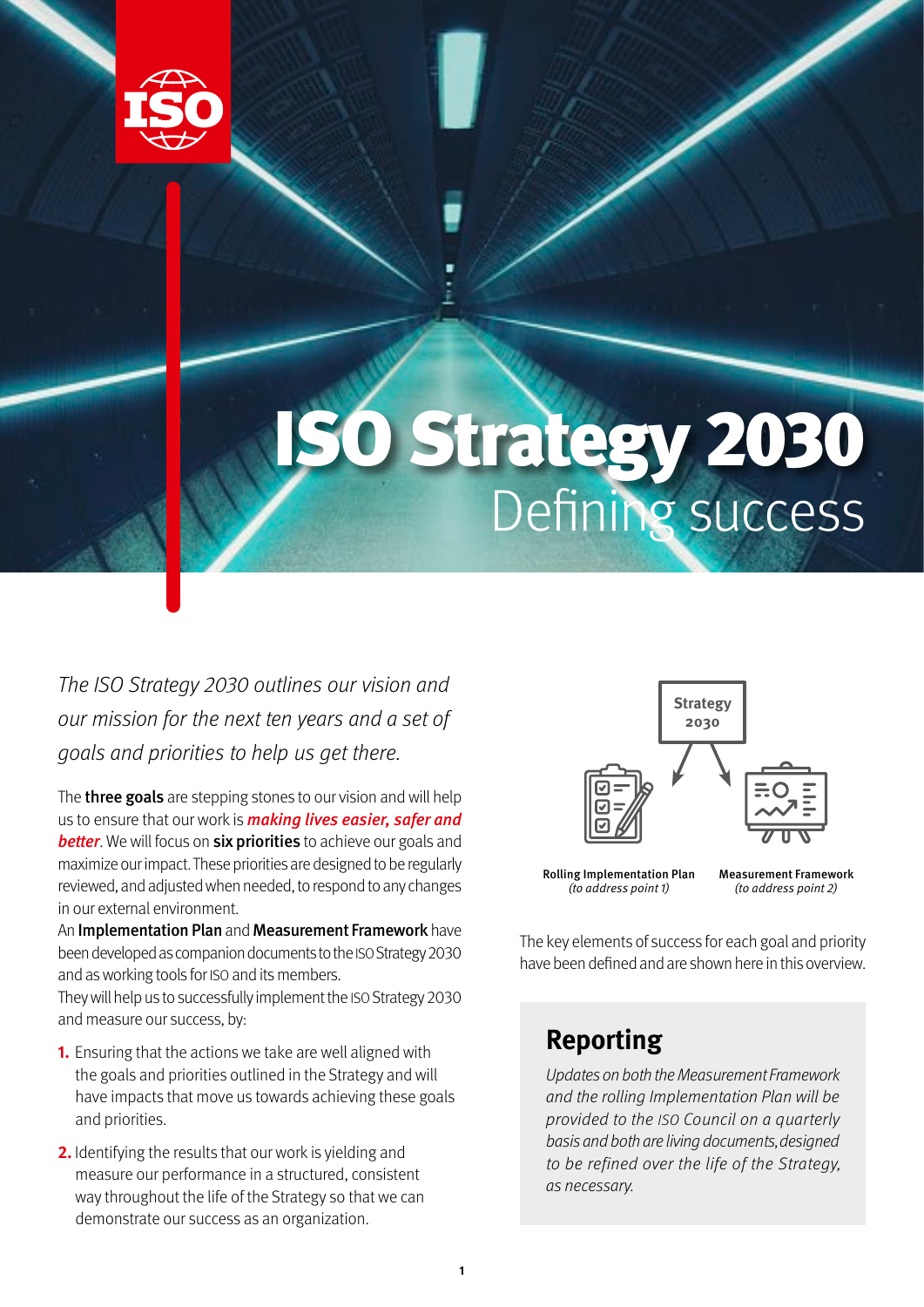

## ISO Strategy 2030 Defining success

The ISO Strategy 2030 outlines our vision and our mission for the next ten years and a set of goals and priorities to help us get there.

The **three goals** are stepping stones to our vision and will help us to ensure that our work is **making lives easier, safer and better**. We will focus on **six priorities** to achieve our goals and maximize our impact. These priorities are designed to be regularly reviewed, and adjusted when needed, to respond to any changes in our external environment.

An Implementation Plan and Measurement Framework have been developed as companion documents to the ISO Strategy 2030 and as working tools for ISO and its members.

They will help us to successfully implement the ISO Strategy 2030 and measure our success, by:

- **1.** Ensuring that the actions we take are well aligned with the goals and priorities outlined in the Strategy and will have impacts that move us towards achieving these goals and priorities.
- **2.** Identifying the results that our work is yielding and measure our performance in a structured, consistent way throughout the life of the Strategy so that we can demonstrate our success as an organization.



Rolling Implementation Plan (to address point 1)

Measurement Framework (to address point 2)

The key elements of success for each goal and priority have been defined and are shown here in this overview.

## **Reporting**

Updates on both the Measurement Framework and the rolling Implementation Plan will be provided to the ISO Council on a quarterly basis and both are living documents, designed to be refined over the life of the Strategy, as necessary.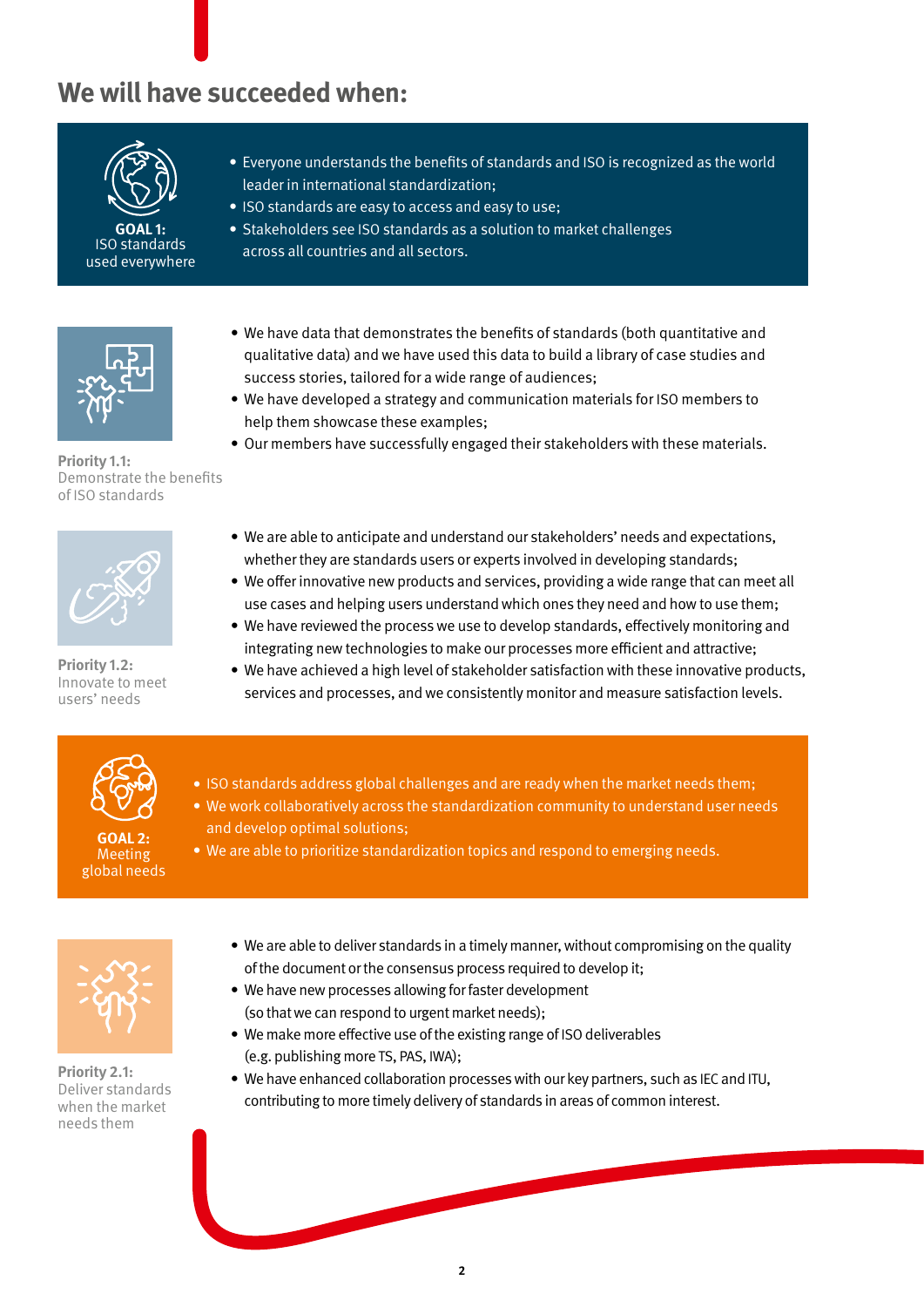## **We will have succeeded when:**



**GOAL 1:** ISO standards used everywhere



**Priority 1.1:** Demonstrate the benefits of ISO standards



**Priority 1.2:**  Innovate to meet users' needs

- **•** Everyone understands the benefits of standards and ISO is recognized as the world leader in international standardization;
- **•** ISO standards are easy to access and easy to use;
- **•** Stakeholders see ISO standards as a solution to market challenges across all countries and all sectors.
- **•** We have data that demonstrates the benefits of standards (both quantitative and qualitative data) and we have used this data to build a library of case studies and success stories, tailored for a wide range of audiences;
- **•** We have developed a strategy and communication materials for ISO members to help them showcase these examples;
- **•** Our members have successfully engaged their stakeholders with these materials.
- **•** We are able to anticipate and understand our stakeholders' needs and expectations, whether they are standards users or experts involved in developing standards;
- **•** We offer innovative new products and services, providing a wide range that can meet all use cases and helping users understand which ones they need and how to use them;
- **•** We have reviewed the process we use to develop standards, effectively monitoring and integrating new technologies to make our processes more efficient and attractive;
- **•** We have achieved a high level of stakeholder satisfaction with these innovative products, services and processes, and we consistently monitor and measure satisfaction levels.



**GOAL 2: Meeting** global needs

- **•** ISO standards address global challenges and are ready when the market needs them;
- **•** We work collaboratively across the standardization community to understand user needs and develop optimal solutions;
- **•** We are able to prioritize standardization topics and respond to emerging needs.



**Priority 2.1:**  Deliver standards when the market needs them

- **•** We are able to deliver standards in a timely manner, without compromising on the quality of the document or the consensus process required to develop it;
- **•** We have new processes allowing for faster development (so that we can respond to urgent market needs);
- **•** We make more effective use of the existing range of ISO deliverables (e.g. publishing more TS, PAS, IWA);
- **•** We have enhanced collaboration processes with our key partners, such as IEC and ITU, contributing to more timely delivery of standards in areas of common interest.